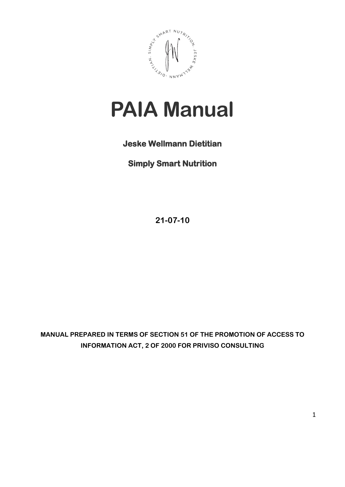

# **PAIA Manual**

## **Jeske Wellmann Dietitian**

**Simply Smart Nutrition**

**21-07-10**

**MANUAL PREPARED IN TERMS OF SECTION 51 OF THE PROMOTION OF ACCESS TO INFORMATION ACT, 2 OF 2000 FOR PRIVISO CONSULTING**

1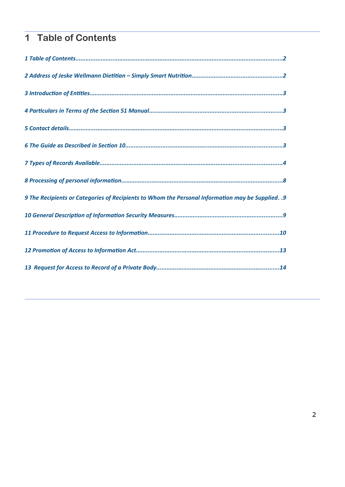# <span id="page-1-0"></span>**1 Table of Contents**

| 9. 9 The Recipients or Categories of Recipients to Whom the Personal Information may be Supplied. . |
|-----------------------------------------------------------------------------------------------------|
|                                                                                                     |
|                                                                                                     |
|                                                                                                     |
|                                                                                                     |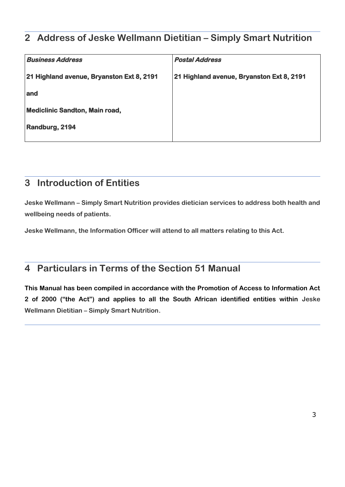## <span id="page-2-2"></span>**2 Address of Jeske Wellmann Dietitian – Simply Smart Nutrition**

| <b>Business Address</b>                   | <b>Postal Address</b>                     |
|-------------------------------------------|-------------------------------------------|
| 21 Highland avenue, Bryanston Ext 8, 2191 | 21 Highland avenue, Bryanston Ext 8, 2191 |
| and                                       |                                           |
| <b>Mediclinic Sandton, Main road,</b>     |                                           |
| Randburg, 2194                            |                                           |
|                                           |                                           |

## <span id="page-2-1"></span>**3 Introduction of Entities**

**Jeske Wellmann – Simply Smart Nutrition provides dietician services to address both health and wellbeing needs of patients.**

**Jeske Wellmann, the Information Officer will attend to all matters relating to this Act.**

## <span id="page-2-0"></span>**4 Particulars in Terms of the Section 51 Manual**

**This Manual has been compiled in accordance with the Promotion of Access to Information Act 2 of 2000 ("the Act") and applies to all the South African identified entities within Jeske Wellmann Dietitian – Simply Smart Nutrition.**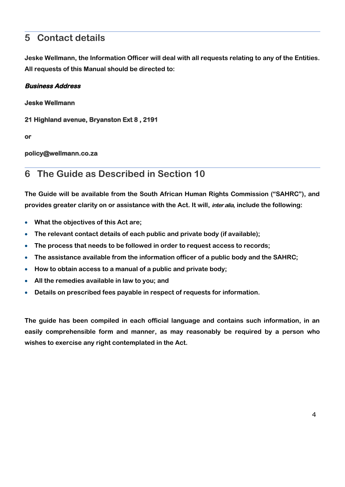## <span id="page-3-1"></span>**5 Contact details**

**Jeske Wellmann, the Information Officer will deal with all requests relating to any of the Entities. All requests of this Manual should be directed to:**

#### **Business Address**

**Jeske Wellmann**

**21 Highland avenue, Bryanston Ext 8 , 2191**

**or**

#### **policy@wellmann.co.za**

### <span id="page-3-0"></span>**6 The Guide as Described in Section 10**

**The Guide will be available from the South African Human Rights Commission ("SAHRC"), and provides greater clarity on or assistance with the Act. It will, inter alia, include the following:**

- **What the objectives of this Act are;**
- **The relevant contact details of each public and private body (if available);**
- **The process that needs to be followed in order to request access to records;**
- **The assistance available from the information officer of a public body and the SAHRC;**
- **How to obtain access to a manual of a public and private body;**
- **All the remedies available in law to you; and**
- **Details on prescribed fees payable in respect of requests for information.**

**The guide has been compiled in each official language and contains such information, in an easily comprehensible form and manner, as may reasonably be required by a person who wishes to exercise any right contemplated in the Act.**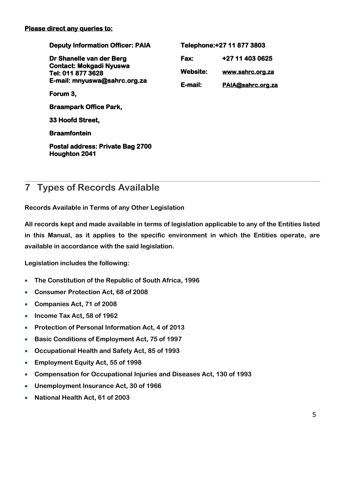| <b>Deputy Information Officer: PAIA</b>                  |                 | Telephone: + 27 11 877 3803 |
|----------------------------------------------------------|-----------------|-----------------------------|
| Dr Shanelle van der Berg                                 | <b>Fax:</b>     | +27 11 403 0625             |
| <b>Contact: Mokgadi Nyuswa</b><br>Tel: 011 877 3628      | <b>Website:</b> | www.sahrc.org.za            |
| E-mail: mnyuswa@sahrc.org.za                             | E-mail:         | PAIA@sahrc.org.za           |
| Forum 3,                                                 |                 |                             |
| <b>Braampark Office Park,</b>                            |                 |                             |
| 33 Hoofd Street,                                         |                 |                             |
| <b>Braamfontein</b>                                      |                 |                             |
| Postal address: Private Bag 2700<br><b>Houghton 2041</b> |                 |                             |

## <span id="page-4-0"></span>**7 Types of Records Available**

**Records Available in Terms of any Other Legislation**

**All records kept and made available in terms of legislation applicable to any of the Entities listed in this Manual, as it applies to the specific environment in which the Entities operate, are available in accordance with the said legislation.**

**Legislation includes the following:**

- **The Constitution of the Republic of South Africa, 1996**
- **Consumer Protection Act, 68 of 2008**
- **Companies Act, 71 of 2008**
- **Income Tax Act, 58 of 1962**
- **Protection of Personal Information Act, 4 of 2013**
- **Basic Conditions of Employment Act, 75 of 1997**
- **Occupational Health and Safety Act, 85 of 1993**
- **Employment Equity Act, 55 of 1998**
- **Compensation for Occupational Injuries and Diseases Act, 130 of 1993**
- **Unemployment Insurance Act, 30 of 1966**
- **National Health Act, 61 of 2003**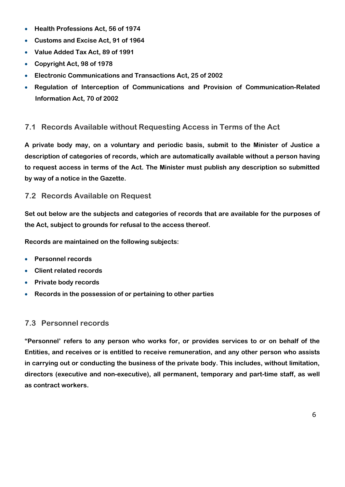- **Health Professions Act, 56 of 1974**
- **Customs and Excise Act, 91 of 1964**
- **Value Added Tax Act, 89 of 1991**
- **Copyright Act, 98 of 1978**
- **Electronic Communications and Transactions Act, 25 of 2002**
- **Regulation of Interception of Communications and Provision of Communication-Related Information Act, 70 of 2002**

#### **7.1 Records Available without Requesting Access in Terms of the Act**

**A private body may, on a voluntary and periodic basis, submit to the Minister of Justice a description of categories of records, which are automatically available without a person having to request access in terms of the Act. The Minister must publish any description so submitted by way of a notice in the Gazette.**

#### **7.2 Records Available on Request**

**Set out below are the subjects and categories of records that are available for the purposes of the Act, subject to grounds for refusal to the access thereof.**

**Records are maintained on the following subjects:**

- **Personnel records**
- **Client related records**
- **Private body records**
- **Records in the possession of or pertaining to other parties**

#### **7.3 Personnel records**

**"Personnel' refers to any person who works for, or provides services to or on behalf of the Entities, and receives or is entitled to receive remuneration, and any other person who assists in carrying out or conducting the business of the private body. This includes, without limitation, directors (executive and non-executive), all permanent, temporary and part-time staff, as well as contract workers.**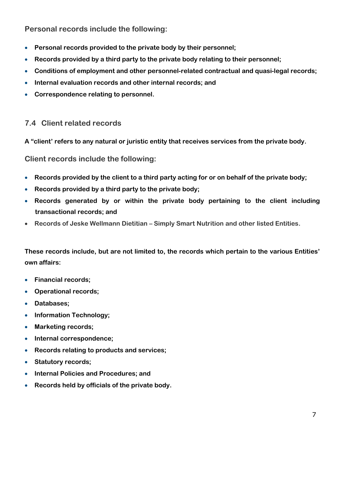**Personal records include the following:**

- **Personal records provided to the private body by their personnel;**
- **Records provided by a third party to the private body relating to their personnel;**
- **Conditions of employment and other personnel-related contractual and quasi-legal records;**
- **Internal evaluation records and other internal records; and**
- **Correspondence relating to personnel.**

#### **7.4 Client related records**

**A "client' refers to any natural or juristic entity that receives services from the private body.**

**Client records include the following:**

- **Records provided by the client to a third party acting for or on behalf of the private body;**
- **Records provided by a third party to the private body;**
- **Records generated by or within the private body pertaining to the client including transactional records; and**
- **Records of Jeske Wellmann Dietitian Simply Smart Nutrition and other listed Entities.**

**These records include, but are not limited to, the records which pertain to the various Entities' own affairs:**

- **Financial records;**
- **Operational records;**
- **Databases;**
- **Information Technology;**
- **Marketing records;**
- **Internal correspondence;**
- **Records relating to products and services;**
- **Statutory records;**
- **Internal Policies and Procedures; and**
- **Records held by officials of the private body.**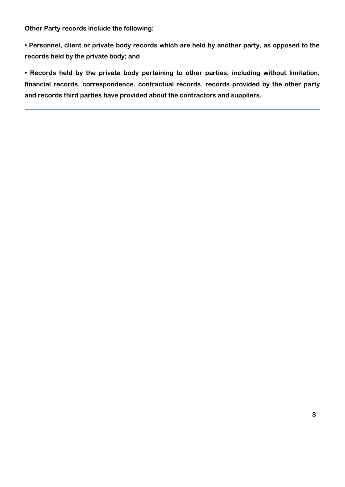**Other Party records include the following:**

**• Personnel, client or private body records which are held by another party, as opposed to the records held by the private body; and** 

**• Records held by the private body pertaining to other parties, including without limitation, financial records, correspondence, contractual records, records provided by the other party and records third parties have provided about the contractors and suppliers.**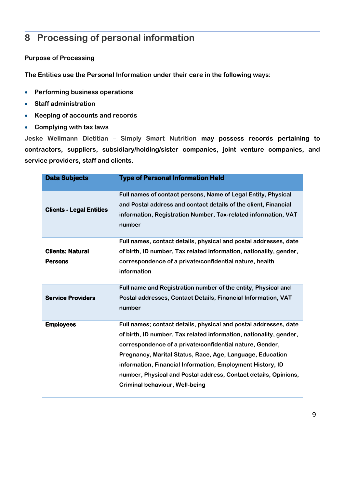## <span id="page-8-0"></span>**8 Processing of personal information**

#### **Purpose of Processing**

**The Entities use the Personal Information under their care in the following ways:**

- **Performing business operations**
- **Staff administration**
- **Keeping of accounts and records**
- **Complying with tax laws**

**Jeske Wellmann Dietitian – Simply Smart Nutrition may possess records pertaining to contractors, suppliers, subsidiary/holding/sister companies, joint venture companies, and service providers, staff and clients.**

| <b>Data Subjects</b>                      | <b>Type of Personal Information Held</b>                                                                                                                                                                                                                                                                                                                                                                                                  |
|-------------------------------------------|-------------------------------------------------------------------------------------------------------------------------------------------------------------------------------------------------------------------------------------------------------------------------------------------------------------------------------------------------------------------------------------------------------------------------------------------|
| <b>Clients - Legal Entities</b>           | Full names of contact persons, Name of Legal Entity, Physical<br>and Postal address and contact details of the client, Financial<br>information, Registration Number, Tax-related information, VAT<br>number                                                                                                                                                                                                                              |
| <b>Clients: Natural</b><br><b>Persons</b> | Full names, contact details, physical and postal addresses, date<br>of birth, ID number, Tax related information, nationality, gender,<br>correspondence of a private/confidential nature, health<br>information                                                                                                                                                                                                                          |
| <b>Service Providers</b>                  | Full name and Registration number of the entity, Physical and<br>Postal addresses, Contact Details, Financial Information, VAT<br>number                                                                                                                                                                                                                                                                                                  |
| <b>Employees</b>                          | Full names; contact details, physical and postal addresses, date<br>of birth, ID number, Tax related information, nationality, gender,<br>correspondence of a private/confidential nature, Gender,<br>Pregnancy, Marital Status, Race, Age, Language, Education<br>information, Financial Information, Employment History, ID<br>number, Physical and Postal address, Contact details, Opinions,<br><b>Criminal behaviour, Well-being</b> |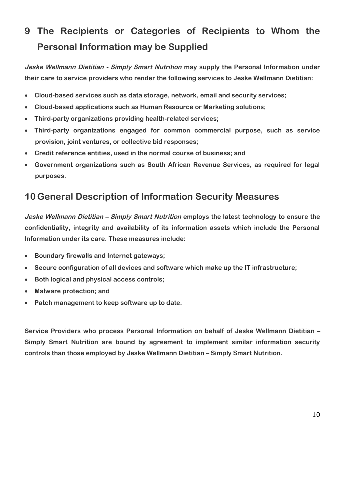## <span id="page-9-1"></span>**9 The Recipients or Categories of Recipients to Whom the Personal Information may be Supplied**

**Jeske Wellmann Dietitian - Simply Smart Nutrition may supply the Personal Information under their care to service providers who render the following services to Jeske Wellmann Dietitian:**

- **Cloud-based services such as data storage, network, email and security services;**
- **Cloud-based applications such as Human Resource or Marketing solutions;**
- **Third-party organizations providing health-related services;**
- **Third-party organizations engaged for common commercial purpose, such as service provision, joint ventures, or collective bid responses;**
- **Credit reference entities, used in the normal course of business; and**
- **Government organizations such as South African Revenue Services, as required for legal purposes.**

## <span id="page-9-0"></span>**10 General Description of Information Security Measures**

**Jeske Wellmann Dietitian – Simply Smart Nutrition employs the latest technology to ensure the confidentiality, integrity and availability of its information assets which include the Personal Information under its care. These measures include:**

- **Boundary firewalls and Internet gateways;**
- **Secure configuration of all devices and software which make up the IT infrastructure;**
- **Both logical and physical access controls;**
- **Malware protection; and**
- **Patch management to keep software up to date.**

**Service Providers who process Personal Information on behalf of Jeske Wellmann Dietitian – Simply Smart Nutrition are bound by agreement to implement similar information security controls than those employed by Jeske Wellmann Dietitian – Simply Smart Nutrition.**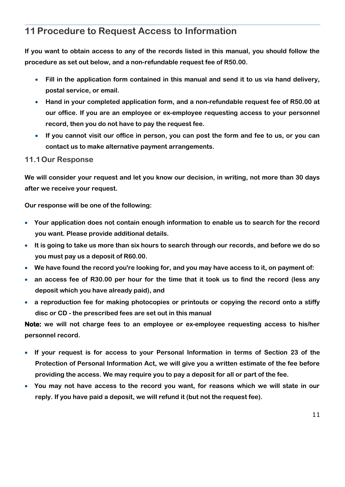## <span id="page-10-0"></span>**11Procedure to Request Access to Information**

**If you want to obtain access to any of the records listed in this manual, you should follow the procedure as set out below, and a non-refundable request fee of R50.00.**

- **Fill in the application form contained in this manual and send it to us via hand delivery, postal service, or email.**
- **Hand in your completed application form, and a non-refundable request fee of R50.00 at our office. If you are an employee or ex-employee requesting access to your personnel record, then you do not have to pay the request fee.**
- **If you cannot visit our office in person, you can post the form and fee to us, or you can contact us to make alternative payment arrangements.**

#### **11.1Our Response**

**We will consider your request and let you know our decision, in writing, not more than 30 days after we receive your request.**

**Our response will be one of the following:**

- **Your application does not contain enough information to enable us to search for the record you want. Please provide additional details.**
- **It is going to take us more than six hours to search through our records, and before we do so you must pay us a deposit of R60.00.**
- **We have found the record you're looking for, and you may have access to it, on payment of:**
- **an access fee of R30.00 per hour for the time that it took us to find the record (less any deposit which you have already paid), and**
- **a reproduction fee for making photocopies or printouts or copying the record onto a stiffy disc or CD - the prescribed fees are set out in this manual**

**Note: we will not charge fees to an employee or ex-employee requesting access to his/her personnel record.**

- **If your request is for access to your Personal Information in terms of Section 23 of the Protection of Personal Information Act, we will give you a written estimate of the fee before providing the access. We may require you to pay a deposit for all or part of the fee.**
- **You may not have access to the record you want, for reasons which we will state in our reply. If you have paid a deposit, we will refund it (but not the request fee).**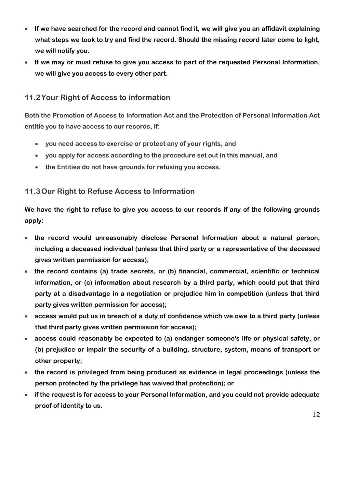- **If we have searched for the record and cannot find it, we will give you an affidavit explaining what steps we took to try and find the record. Should the missing record later come to light, we will notify you.**
- **If we may or must refuse to give you access to part of the requested Personal Information, we will give you access to every other part.**

#### **11.2Your Right of Access to information**

**Both the Promotion of Access to Information Act and the Protection of Personal Information Act entitle you to have access to our records, if:**

- **you need access to exercise or protect any of your rights, and**
- **you apply for access according to the procedure set out in this manual, and**
- **the Entities do not have grounds for refusing you access.**

#### **11.3Our Right to Refuse Access to Information**

**We have the right to refuse to give you access to our records if any of the following grounds apply:**

- **the record would unreasonably disclose Personal Information about a natural person, including a deceased individual (unless that third party or a representative of the deceased gives written permission for access);**
- **the record contains (a) trade secrets, or (b) financial, commercial, scientific or technical information, or (c) information about research by a third party, which could put that third party at a disadvantage in a negotiation or prejudice him in competition (unless that third party gives written permission for access);**
- **access would put us in breach of a duty of confidence which we owe to a third party (unless that third party gives written permission for access);**
- **access could reasonably be expected to (a) endanger someone's life or physical safety, or (b) prejudice or impair the security of a building, structure, system, means of transport or other property;**
- **the record is privileged from being produced as evidence in legal proceedings (unless the person protected by the privilege has waived that protection); or**
- **if the request is for access to your Personal Information, and you could not provide adequate proof of identity to us.**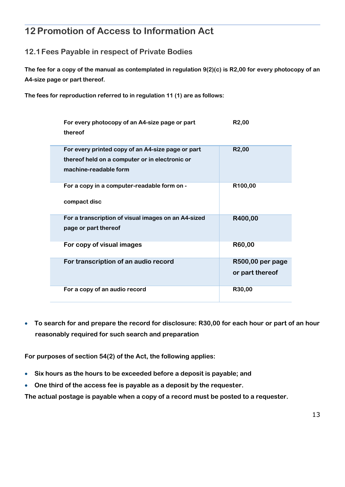## <span id="page-12-0"></span>**12Promotion of Access to Information Act**

#### **12.1Fees Payable in respect of Private Bodies**

**The fee for a copy of the manual as contemplated in regulation 9(2)(c) is R2,00 for every photocopy of an A4-size page or part thereof.**

**The fees for reproduction referred to in regulation 11 (1) are as follows:**

| For every photocopy of an A4-size page or part<br>thereof                                                                    | R <sub>2</sub> ,00                  |
|------------------------------------------------------------------------------------------------------------------------------|-------------------------------------|
| For every printed copy of an A4-size page or part<br>thereof held on a computer or in electronic or<br>machine-readable form | R <sub>2</sub> ,00                  |
| For a copy in a computer-readable form on -<br>compact disc                                                                  | R100,00                             |
| For a transcription of visual images on an A4-sized<br>page or part thereof                                                  | R400,00                             |
| For copy of visual images                                                                                                    | R60,00                              |
| For transcription of an audio record                                                                                         | R500,00 per page<br>or part thereof |
| For a copy of an audio record                                                                                                | R30,00                              |

 **To search for and prepare the record for disclosure: R30,00 for each hour or part of an hour reasonably required for such search and preparation**

**For purposes of section 54(2) of the Act, the following applies:**

- **Six hours as the hours to be exceeded before a deposit is payable; and**
- **One third of the access fee is payable as a deposit by the requester.**

**The actual postage is payable when a copy of a record must be posted to a requester.**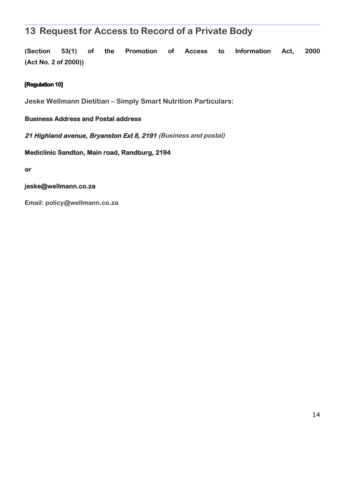## <span id="page-13-0"></span>**13 Request for Access to Record of a Private Body**

**(Section 53(1) of the Promotion of Access to Information Act, 2000 (Act No. 2 of 2000))**

#### **[Regulation 10]**

**Jeske Wellmann Dietitian – Simply Smart Nutrition Particulars:**

#### **Business Address and Postal address**

**21 Highland avenue, Bryanston Ext 8, 2191 (Business and postal)**

**Mediclinic Sandton, Main road, Randburg, 2194**

**or**

#### **jeske@wellmann.co.za**

**Email: policy@wellmann.co.za**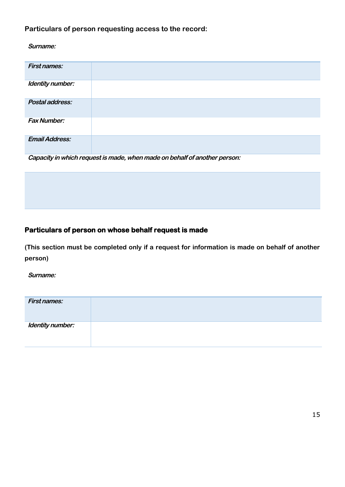#### **Particulars of person requesting access to the record:**

**Surname:**

| <b>First names:</b>   |  |
|-----------------------|--|
| Identity number:      |  |
| Postal address:       |  |
| <b>Fax Number:</b>    |  |
| <b>Email Address:</b> |  |

**Capacity in which request is made, when made on behalf of another person:**

#### **Particulars of person on whose behalf request is made**

**(This section must be completed only if a request for information is made on behalf of another person)**

**Surname:**

| <b>First names:</b> |  |
|---------------------|--|
| Identity number:    |  |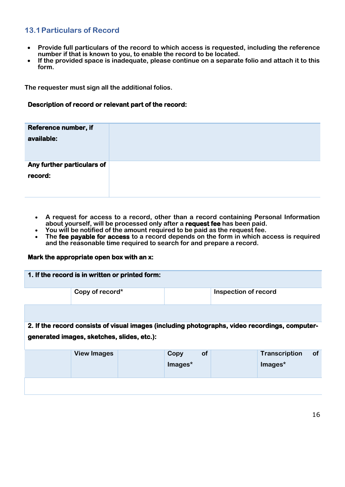#### **13.1Particulars of Record**

- **Provide full particulars of the record to which access is requested, including the reference number if that is known to you, to enable the record to be located.**
- **If the provided space is inadequate, please continue on a separate folio and attach it to this form.**

**The requester must sign all the additional folios.**

#### **Description of record or relevant part of the record:**

| Reference number, if       |  |
|----------------------------|--|
| available:                 |  |
|                            |  |
|                            |  |
| Any further particulars of |  |
|                            |  |
| record:                    |  |
|                            |  |
|                            |  |
|                            |  |

- **A request for access to a record, other than a record containing Personal Information about yourself, will be processed only after a request fee has been paid.**
- **You will be notified of the amount required to be paid as the request fee.**
- **The fee payable for access to a record depends on the form in which access is required and the reasonable time required to search for and prepare a record.**

#### **Mark the appropriate open box with an x:**

| 1. If the record is in written or printed form: |                                                                                                |
|-------------------------------------------------|------------------------------------------------------------------------------------------------|
| Copy of record*                                 | Inspection of record                                                                           |
|                                                 |                                                                                                |
|                                                 | 2. If the record consists of visual images (including photographs, video recordings, computer- |
| generated images, sketches, slides, etc.):      |                                                                                                |

| <b>View Images</b> | Copy<br>Images* | <b>of</b> | Transcription<br>$Image*$ | <b>of</b> |
|--------------------|-----------------|-----------|---------------------------|-----------|
|                    |                 |           |                           |           |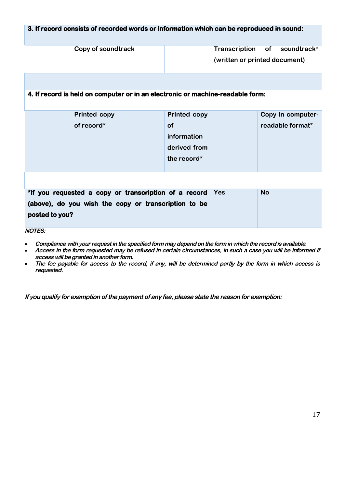#### **3. If record consists of recorded words or information which can be reproduced in sound:**

| Copy of soundtrack | Transcription of soundtrack*  |
|--------------------|-------------------------------|
|                    | (written or printed document) |

#### **4. If record is held on computer or in an electronic or machine-readable form:**

| <b>Printed copy</b> | <b>Printed copy</b> | Copy in computer- |
|---------------------|---------------------|-------------------|
| of record*          | <b>of</b>           | readable format*  |
|                     | information         |                   |
|                     | derived from        |                   |
|                     | the record*         |                   |
|                     |                     |                   |

| *If you requested a copy or transcription of a record Yes | <b>No</b> |
|-----------------------------------------------------------|-----------|
| (above), do you wish the copy or transcription to be      |           |
| posted to you?                                            |           |
| .                                                         |           |

**NOTES:**

- **Compliance with your request in the specified form may depend on the form in which the record is available.**
- **Access in the form requested may be refused in certain circumstances, in such a case you will be informed if access will be granted in another form.**
- **The fee payable for access to the record, if any, will be determined partly by the form in which access is requested.**

**If you qualify for exemption of the payment of any fee, please state the reason for exemption:**